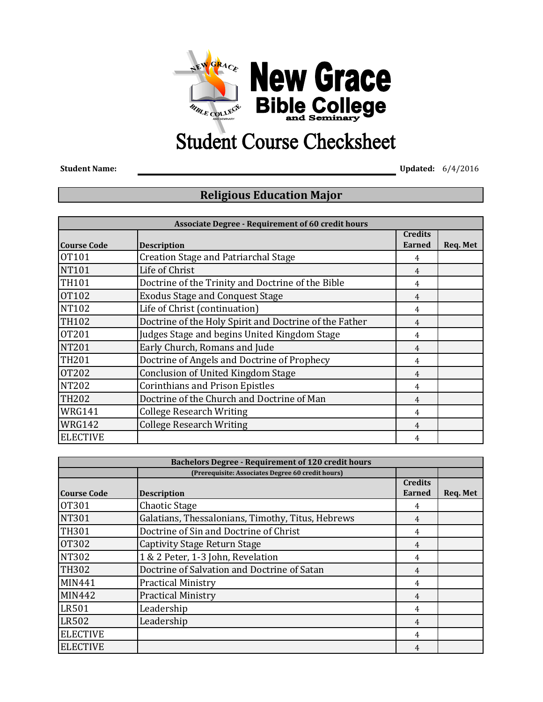

## **Student Course Checksheet**

**Student Name: Updated:** 6/4/2016

## **Religious Education Major**

| <b>Associate Degree - Requirement of 60 credit hours</b> |                                                        |                |          |
|----------------------------------------------------------|--------------------------------------------------------|----------------|----------|
|                                                          |                                                        | <b>Credits</b> |          |
| <b>Course Code</b>                                       | <b>Description</b>                                     | <b>Earned</b>  | Req. Met |
| <b>OT101</b>                                             | <b>Creation Stage and Patriarchal Stage</b>            | 4              |          |
| <b>NT101</b>                                             | Life of Christ                                         | 4              |          |
| <b>TH101</b>                                             | Doctrine of the Trinity and Doctrine of the Bible      | 4              |          |
| <b>OT102</b>                                             | <b>Exodus Stage and Conquest Stage</b>                 | 4              |          |
| <b>NT102</b>                                             | Life of Christ (continuation)                          | 4              |          |
| <b>TH102</b>                                             | Doctrine of the Holy Spirit and Doctrine of the Father | 4              |          |
| <b>OT201</b>                                             | Judges Stage and begins United Kingdom Stage           | 4              |          |
| <b>NT201</b>                                             | Early Church, Romans and Jude                          | 4              |          |
| <b>TH201</b>                                             | Doctrine of Angels and Doctrine of Prophecy            | 4              |          |
| <b>OT202</b>                                             | Conclusion of United Kingdom Stage                     | 4              |          |
| <b>NT202</b>                                             | <b>Corinthians and Prison Epistles</b>                 | 4              |          |
| <b>TH202</b>                                             | Doctrine of the Church and Doctrine of Man             | 4              |          |
| <b>WRG141</b>                                            | <b>College Research Writing</b>                        | 4              |          |
| <b>WRG142</b>                                            | <b>College Research Writing</b>                        | 4              |          |
| <b>ELECTIVE</b>                                          |                                                        | 4              |          |

| <b>Bachelors Degree - Requirement of 120 credit hours</b> |                                                   |                |          |
|-----------------------------------------------------------|---------------------------------------------------|----------------|----------|
| (Prerequisite: Associates Degree 60 credit hours)         |                                                   |                |          |
|                                                           |                                                   | <b>Credits</b> |          |
| <b>Course Code</b>                                        | <b>Description</b>                                | <b>Earned</b>  | Req. Met |
| <b>0T301</b>                                              | <b>Chaotic Stage</b>                              | 4              |          |
| <b>NT301</b>                                              | Galatians, Thessalonians, Timothy, Titus, Hebrews | 4              |          |
| <b>TH301</b>                                              | Doctrine of Sin and Doctrine of Christ            | 4              |          |
| <b>OT302</b>                                              | Captivity Stage Return Stage                      | 4              |          |
| <b>NT302</b>                                              | 1 & 2 Peter, 1-3 John, Revelation                 | 4              |          |
| <b>TH302</b>                                              | Doctrine of Salvation and Doctrine of Satan       | 4              |          |
| <b>MIN441</b>                                             | <b>Practical Ministry</b>                         | 4              |          |
| <b>MIN442</b>                                             | <b>Practical Ministry</b>                         | 4              |          |
| <b>LR501</b>                                              | Leadership                                        | 4              |          |
| <b>LR502</b>                                              | Leadership                                        | 4              |          |
| <b>ELECTIVE</b>                                           |                                                   | 4              |          |
| <b>ELECTIVE</b>                                           |                                                   | 4              |          |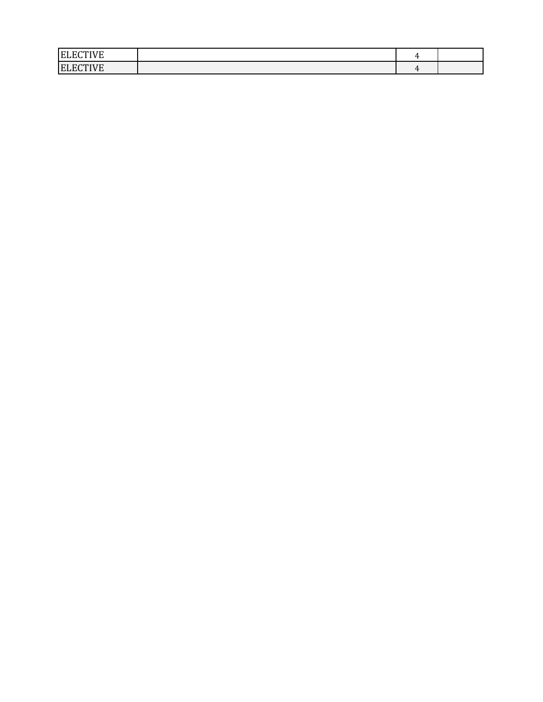| .<br><b>ELL</b> |  |  |
|-----------------|--|--|
| <b>ELECTIVE</b> |  |  |